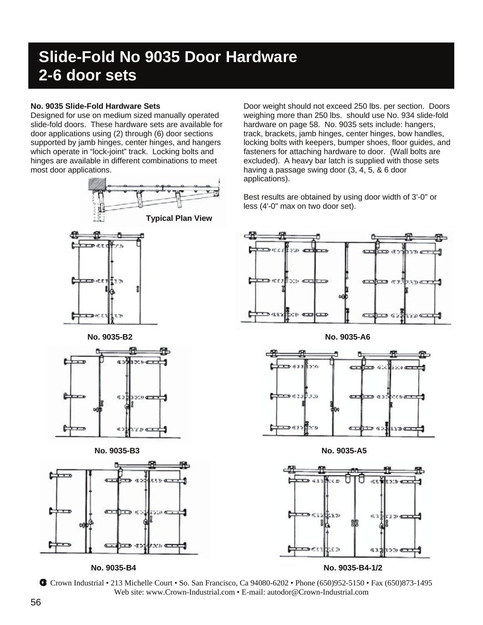## **Slide-Fold No 9035 Door Hardware 2-6 door sets**

#### **No. 9035 Slide-Fold Hardware Sets**

Designed for use on medium sized manually operated slide-fold doors. These hardware sets are available for door applications using (2) through (6) door sections supported by jamb hinges, center hinges, and hangers which operate in "lock-joint" track. Locking bolts and hinges are available in different combinations to meet most door applications.



Door weight should not exceed 250 lbs. per section. Doors weighing more than 250 lbs. should use No. 934 slide-fold hardware on page 58. No. 9035 sets include: hangers, track, brackets, jamb hinges, center hinges, bow handles, locking bolts with keepers, bumper shoes, floor guides, and fasteners for attaching hardware to door. (Wall bolts are excluded). A heavy bar latch is supplied with those sets having a passage swing door (3, 4, 5, & 6 door applications).

Best results are obtained by using door width of 3'-0" or less (4'-0" max on two door set).





**No. 9035-B4 No. 9035-B4-1/2** 

Crown Industrial • 213 Michelle Court • So. San Francisco, Ca 94080-6202 • Phone (650)952-5150 • Fax (650)873-1495 Web site: www.Crown-Industrial.com • E-mail: autodor@Crown-Industrial.com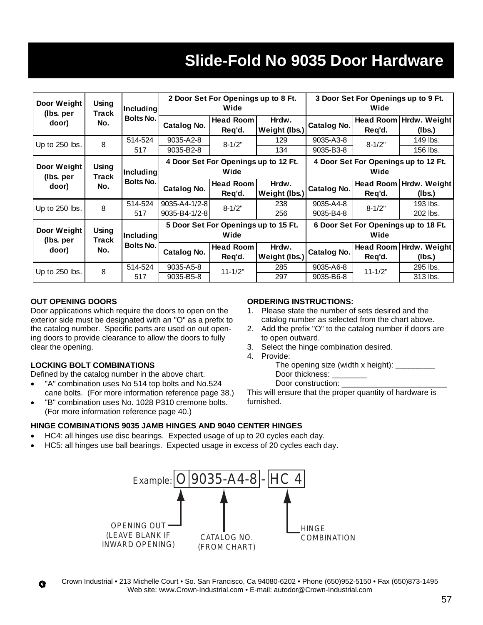# **Slide-Fold No 9035 Door Hardware**

| Door Weight<br>(lbs. per          | Using<br>Track<br>No. | Including<br><b>Bolts No.</b>        | 2 Door Set For Openings up to 8 Ft.<br>Wide  |                            |                        | 3 Door Set For Openings up to 9 Ft.<br>Wide  |             |                                    |
|-----------------------------------|-----------------------|--------------------------------------|----------------------------------------------|----------------------------|------------------------|----------------------------------------------|-------------|------------------------------------|
| door)                             |                       |                                      | Catalog No.                                  | <b>Head Room</b><br>Req'd. | Hrdw.<br>Weight (lbs.) | Catalog No.                                  | Req'd.      | Head Room   Hrdw. Weight<br>(lbs.) |
| Up to 250 lbs.                    | 8                     | 514-524<br>517                       | 9035-A2-8<br>9035-B2-8                       | $8 - 1/2"$                 | 129<br>134             | 9035-A3-8<br>9035-B3-8                       | $8 - 1/2"$  | 149 lbs.<br>156 lbs.               |
| Door Weight<br>(Ibs. per<br>door) | Using<br>Track<br>No. | <b>Including</b><br><b>Bolts No.</b> | 4 Door Set For Openings up to 12 Ft.<br>Wide |                            |                        | 4 Door Set For Openings up to 12 Ft.<br>Wide |             |                                    |
|                                   |                       |                                      | Catalog No.                                  | <b>Head Room</b><br>Req'd. | Hrdw.<br>Weight (lbs.) | Catalog No.                                  | Req'd.      | Head Room   Hrdw. Weight<br>(lbs.) |
| Up to 250 lbs.                    | 8                     | 514-524<br>517                       | 9035-A4-1/2-8<br>9035-B4-1/2-8               | $8 - 1/2"$                 | 238<br>256             | 9035-A4-8<br>9035-B4-8                       | $8 - 1/2"$  | 193 lbs.<br>202 lbs.               |
| Door Weight<br>(lbs. per<br>door) | Using<br>Track<br>No. | Including<br>Bolts No.               | 5 Door Set For Openings up to 15 Ft.<br>Wide |                            |                        | 6 Door Set For Openings up to 18 Ft.<br>Wide |             |                                    |
|                                   |                       |                                      | Catalog No.                                  | <b>Head Room</b><br>Req'd. | Hrdw.<br>Weight (lbs.) | <b>Catalog No.</b>                           | Req'd.      | Head Room Hrdw. Weight<br>(Ibs.)   |
| Up to 250 lbs.                    | 8                     | 514-524<br>517                       | 9035-A5-8<br>9035-B5-8                       | $11 - 1/2"$                | 285<br>297             | 9035-A6-8<br>9035-B6-8                       | $11 - 1/2"$ | 295 lbs.<br>313 lbs.               |

#### **OUT OPENING DOORS**

Door applications which require the doors to open on the exterior side must be designated with an "O" as a prefix to the catalog number. Specific parts are used on out opening doors to provide clearance to allow the doors to fully clear the opening.

#### **LOCKING BOLT COMBINATIONS**

Defined by the catalog number in the above chart.

- "A" combination uses No 514 top bolts and No.524 cane bolts. (For more information reference page 38.)
- "B" combination uses No. 1028 P310 cremone bolts. (For more information reference page 40.)

#### **ORDERING INSTRUCTIONS:**

- 1. Please state the number of sets desired and the catalog number as selected from the chart above.
- 2. Add the prefix "O" to the catalog number if doors are to open outward.
- 3. Select the hinge combination desired.
- 4. Provide:

The opening size (width x height):  $\overline{\phantom{a}}$ Door thickness:

Door construction:

This will ensure that the proper quantity of hardware is furnished.

#### **HINGE COMBINATIONS 9035 JAMB HINGES AND 9040 CENTER HINGES**

- HC4: all hinges use disc bearings. Expected usage of up to 20 cycles each day.
- HC5: all hinges use ball bearings. Expected usage in excess of 20 cycles each day.



Crown Industrial • 213 Michelle Court • So. San Francisco, Ca 94080-6202 • Phone (650)952-5150 • Fax (650)873-1495 Ĝ Web site: www.Crown-Industrial.com • E-mail: autodor@Crown-Industrial.com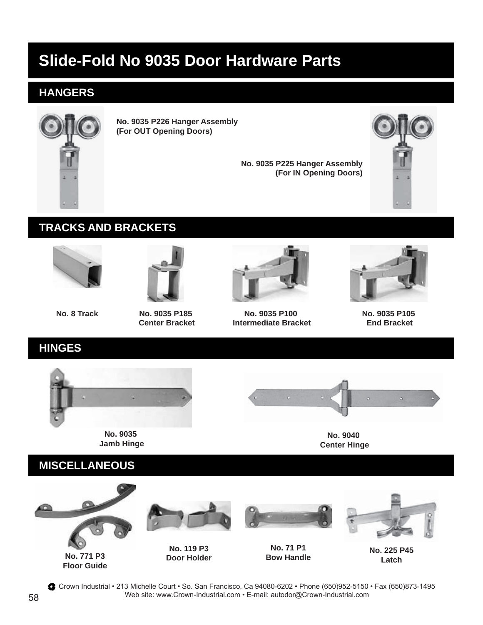# **Slide-Fold No 9035 Door Hardware Parts**

## **HANGERS**



**No. 9035 P226 Hanger Assembly (For OUT Opening Doors)**

> **No. 9035 P225 Hanger Assembly (For IN Opening Doors)**



### **TRACKS AND BRACKETS**





**No. 8 Track No. 9035 P185 Center Bracket**



**No. 9035 P100 Intermediate Bracket**



**No. 9035 P105 End Bracket**

### **HINGES**



**No. 9035 Jamb Hinge**



**No. 9040 Center Hinge**



**Floor Guide**

**Door Holder**

**Latch**

Crown Industrial • 213 Michelle Court • So. San Francisco, Ca 94080-6202 • Phone (650)952-5150 • Fax (650)873-1495 Web site: www.Crown-Industrial.com • E-mail: autodor@Crown-Industrial.com 58